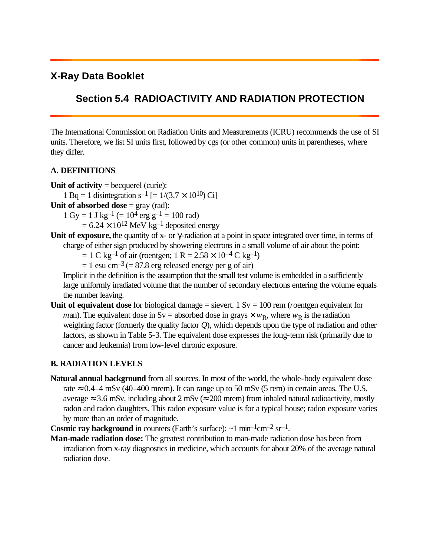## **X-Ray Data Booklet**

## **Section 5.4 RADIOACTIVITY AND RADIATION PROTECTION**

The International Commission on Radiation Units and Measurements (ICRU) recommends the use of SI units. Therefore, we list SI units first, followed by cgs (or other common) units in parentheses, where they differ.

## **A. DEFINITIONS**

- **Unit of activity** = becquerel (curie): 1 Bq = 1 disintegration s<sup>-1</sup> [=  $1/(3.7 \times 10^{10})$  Ci]
- **Unit of absorbed dose** = gray (rad):

 $1 \text{ Gy} = 1 \text{ J kg}^{-1} (= 10^{4} \text{ erg g}^{-1} = 100 \text{ rad})$ 

 $= 6.24 \times 10^{12}$  MeV kg<sup>-1</sup> deposited energy

Unit of exposure, the quantity of x- or *g*-radiation at a point in space integrated over time, in terms of charge of either sign produced by showering electrons in a small volume of air about the point:

 $= 1$  C kg<sup>-1</sup> of air (roentgen; 1 R = 2.58  $\times$  10<sup>-4</sup> C kg<sup>-1</sup>)

 $= 1$  esu cm<sup>-3</sup> (= 87.8 erg released energy per g of air)

Implicit in the definition is the assumption that the small test volume is embedded in a sufficiently large uniformly irradiated volume that the number of secondary electrons entering the volume equals the number leaving.

**Unit of equivalent dose** for biological damage = sievert. 1 Sv = 100 rem (*r*oentgen *e*quivalent for *man*). The equivalent dose in Sv = absorbed dose in grays  $\times w_R$ , where  $w_R$  is the radiation weighting factor (formerly the quality factor *Q*), which depends upon the type of radiation and other factors, as shown in Table 5-3. The equivalent dose expresses the long-term risk (primarily due to cancer and leukemia) from low-level chronic exposure.

## **B. RADIATION LEVELS**

**Natural annual background** from all sources. In most of the world, the whole-body equivalent dose rate  $\approx 0.4-4$  mSv (40–400 mrem). It can range up to 50 mSv (5 rem) in certain areas. The U.S. average  $\approx 3.6$  mSv, including about 2 mSv ( $\approx 200$  mrem) from inhaled natural radioactivity, mostly radon and radon daughters. This radon exposure value is for a typical house; radon exposure varies by more than an order of magnitude.

**Cosmic ray background** in counters (Earth's surface):  $\sim$ 1 min<sup>-1</sup>cm<sup>-2</sup> sr<sup>-1</sup>.

**Man-made radiation dose:** The greatest contribution to man-made radiation dose has been from irradiation from x-ray diagnostics in medicine, which accounts for about 20% of the average natural radiation dose.